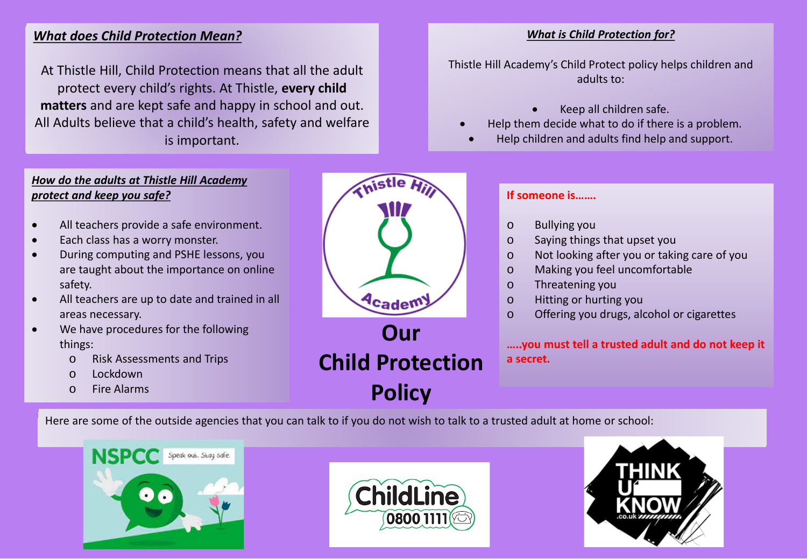## *What does Child Protection Mean?*

At Thistle Hill, Child Protection means that all the adult protect every child's rights. At Thistle, **every child matters** and are kept safe and happy in school and out. All Adults believe that a child's health, safety and welfare is important.

## *What is Child Protection for?*

Thistle Hill Academy's Child Protect policy helps children and adults to:

- Keep all children safe.
- Help them decide what to do if there is a problem.
	- Help children and adults find help and support.

## *How do the adults at Thistle Hill Academy protect and keep you safe?*

- All teachers provide a safe environment.
- Each class has a worry monster.
- During computing and PSHE lessons, you are taught about the importance on online safety.
- All teachers are up to date and trained in all areas necessary.
- We have procedures for the following things:
	- o Risk Assessments and Trips
	- o Lockdown
	- o Fire Alarms



## **If someone is…….**

- o Bullying you
- o Saying things that upset you
- o Not looking after you or taking care of you
- o Making you feel uncomfortable
- o Threatening you
- o Hitting or hurting you
- o Offering you drugs, alcohol or cigarettes

**…..you must tell a trusted adult and do not keep it a secret.** 

Here are some of the outside agencies that you can talk to if you do not wish to talk to a trusted adult at home or school:





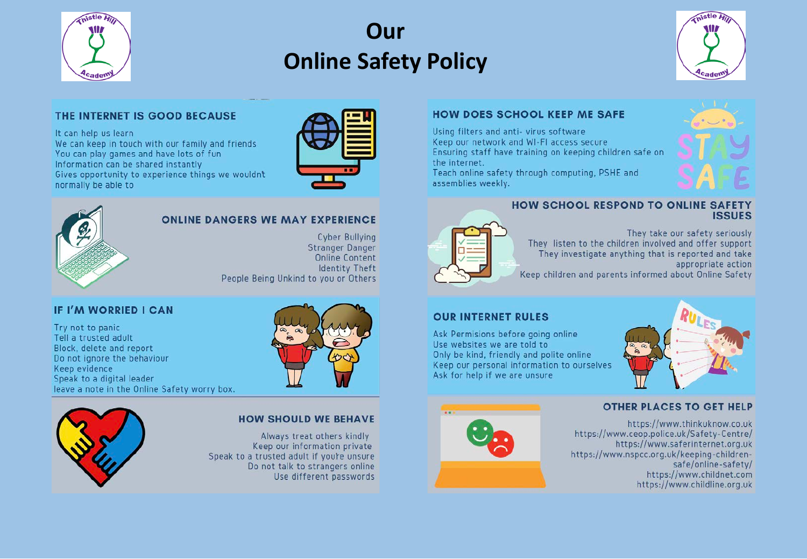

# Our **Online Safety Policy**



#### THE INTERNET IS GOOD BECAUSE

It can help us learn

We can keep in touch with our family and friends You can play games and have lots of fun Information can be shared instantly Gives opportunity to experience things we wouldn't normally be able to





#### **ONLINE DANGERS WE MAY EXPERIENCE**

**Cyber Bullying Stranger Danger Online Content Identity Theft** People Being Unkind to you or Others

## **IF I'M WORRIED I CAN**

Try not to panic Tell a trusted adult Block, delete and report Do not ignore the behaviour Keep evidence Speak to a digital leader leave a note in the Online Safety worry box.





#### **HOW SHOULD WE BEHAVE**

Always treat others kindly Keep our information private Speak to a trusted adult if you're unsure Do not talk to strangers online Use different passwords

## **HOW DOES SCHOOL KEEP ME SAFE**

Using filters and anti-virus software Keep our network and WI-FI access secure Ensuring staff have training on keeping children safe on the internet.

Teach online safety through computing, PSHE and assemblies weekly.



#### HOW SCHOOL RESPOND TO ONLINE SAFETY **ISSUES**

They take our safety seriously They listen to the children involved and offer support They investigate anything that is reported and take appropriate action

Keep children and parents informed about Online Safety

#### **OUR INTERNET RULES**

Ask Permisions before going online Use websites we are told to Only be kind, friendly and polite online Keep our personal information to ourselves Ask for help if we are unsure



#### **OTHER PLACES TO GET HELP**



https://www.thinkuknow.co.uk https://www.ceop.police.uk/Safety-Centre/ https://www.saferinternet.org.uk https://www.nspcc.org.uk/keeping-childrensafe/online-safety/ https://www.childnet.com https://www.childline.org.uk